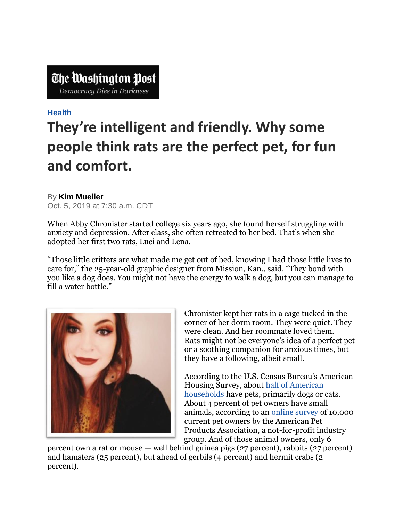## The Washington Post **Democracy Dies in Darkness**

## **[Health](https://www.washingtonpost.com/health/)**

## **They're intelligent and friendly. Why some people think rats are the perfect pet, for fun and comfort.**

## By **Kim Mueller**

Oct. 5, 2019 at 7:30 a.m. CDT

When Abby Chronister started college six years ago, she found herself struggling with anxiety and depression. After class, she often retreated to her bed. That's when she adopted her first two rats, Luci and Lena.

"Those little critters are what made me get out of bed, knowing I had those little lives to care for," the 25-year-old graphic designer from Mission, Kan., said. "They bond with you like a dog does. You might not have the energy to walk a dog, but you can manage to fill a water bottle."



Chronister kept her rats in a cage tucked in the corner of her dorm room. They were quiet. They were clean. And her roommate loved them. Rats might not be everyone's idea of a perfect pet or a soothing companion for anxious times, but they have a following, albeit small.

According to the U.S. Census Bureau's American Housing Survey, about [half of American](https://www.washingtonpost.com/health/theyre-intelligent-and-friendly-why-some-people-think-rats-are-the-perfect-pet-for-fun-and-comfort/2019/10/04/(https:/www.census.gov/programs-surveys/ahs.html)  [households](https://www.washingtonpost.com/health/theyre-intelligent-and-friendly-why-some-people-think-rats-are-the-perfect-pet-for-fun-and-comfort/2019/10/04/(https:/www.census.gov/programs-surveys/ahs.html) have pets, primarily dogs or cats. About 4 percent of pet owners have small animals, according to an [online survey](https://www.americanpetproducts.org/Uploads/NPOS/NPOS19-20_BackgroundPurpose.pdf) of 10,000 current pet owners by the American Pet Products Association, a not-for-profit industry group. And of those animal owners, only 6

percent own a rat or mouse — well behind guinea pigs (27 percent), rabbits (27 percent) and hamsters (25 percent), but ahead of gerbils (4 percent) and hermit crabs (2 percent).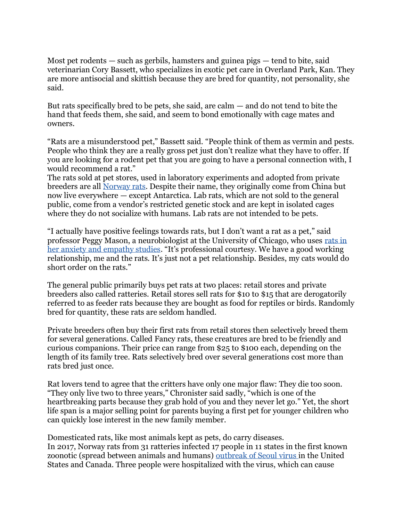Most pet rodents — such as gerbils, hamsters and guinea pigs — tend to bite, said veterinarian Cory Bassett, who specializes in exotic pet care in Overland Park, Kan. They are more antisocial and skittish because they are bred for quantity, not personality, she said.

But rats specifically bred to be pets, she said, are calm  $-$  and do not tend to bite the hand that feeds them, she said, and seem to bond emotionally with cage mates and owners.

"Rats are a misunderstood pet," Bassett said. "People think of them as vermin and pests. People who think they are a really gross pet just don't realize what they have to offer. If you are looking for a rodent pet that you are going to have a personal connection with, I would recommend a rat."

The rats sold at pet stores, used in laboratory experiments and adopted from private breeders are all [Norway rats.](https://nationalzoo.si.edu/animals/norway-rat) Despite their name, they originally come from China but now live everywhere — except Antarctica. Lab rats, which are not sold to the general public, come from a vendor's restricted genetic stock and are kept in isolated cages where they do not socialize with humans. Lab rats are not intended to be pets.

"I actually have positive feelings towards rats, but I don't want a rat as a pet," said professor Peggy Mason, a neurobiologist at the University of Chicago, who uses [rats in](https://news.uchicago.edu/story/study-finds-anti-anxiety-drug-limits-rats-empathetic-behavior)  [her anxiety and empathy studies](https://news.uchicago.edu/story/study-finds-anti-anxiety-drug-limits-rats-empathetic-behavior). "It's professional courtesy. We have a good working relationship, me and the rats. It's just not a pet relationship. Besides, my cats would do short order on the rats."

The general public primarily buys pet rats at two places: retail stores and private breeders also called ratteries. Retail stores sell rats for \$10 to \$15 that are derogatorily referred to as feeder rats because they are bought as food for reptiles or birds. Randomly bred for quantity, these rats are seldom handled.

Private breeders often buy their first rats from retail stores then selectively breed them for several generations. Called Fancy rats, these creatures are bred to be friendly and curious companions. Their price can range from \$25 to \$100 each, depending on the length of its family tree. Rats selectively bred over several generations cost more than rats bred just once.

Rat lovers tend to agree that the critters have only one major flaw: They die too soon. "They only live two to three years," Chronister said sadly, "which is one of the heartbreaking parts because they grab hold of you and they never let go." Yet, the short life span is a major selling point for parents buying a first pet for younger children who can quickly lose interest in the new family member.

Domesticated rats, like most animals kept as pets, do carry diseases. In 2017, Norway rats from 31 ratteries infected 17 people in 11 states in the first known zoonotic (spread between animals and humans) [outbreak of Seoul virus](https://www.cdc.gov/mmwr/volumes/67/wr/mm6704a5.htm) in the United States and Canada. Three people were hospitalized with the virus, which can cause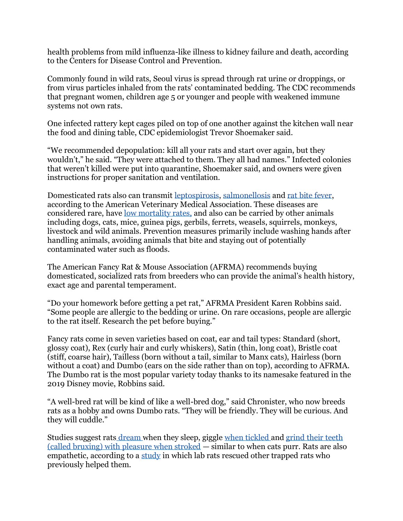health problems from mild influenza-like illness to kidney failure and death, according to the Centers for Disease Control and Prevention.

Commonly found in wild rats, Seoul virus is spread through rat urine or droppings, or from virus particles inhaled from the rats' contaminated bedding. The CDC recommends that pregnant women, children age 5 or younger and people with weakened immune systems not own rats.

One infected rattery kept cages piled on top of one another against the kitchen wall near the food and dining table, CDC epidemiologist Trevor Shoemaker said.

"We recommended depopulation: kill all your rats and start over again, but they wouldn't," he said. "They were attached to them. They all had names." Infected colonies that weren't killed were put into quarantine, Shoemaker said, and owners were given instructions for proper sanitation and ventilation.

Domesticated rats also can transmit [leptospirosis,](https://www.cdc.gov/leptospirosis/) [salmonellosis](https://www.cdc.gov/salmonella/index.html) and [rat bite fever,](https://www.cdc.gov/salmonella/index.html) according to the American Veterinary Medical Association. These diseases are considered rare, have [low mortality rates,](https://www.cdc.gov/salmonella/index.html) and also can be carried by other animals including dogs, cats, mice, guinea pigs, gerbils, ferrets, weasels, squirrels, monkeys, livestock and wild animals. Prevention measures primarily include washing hands after handling animals, avoiding animals that bite and staying out of potentially contaminated water such as floods.

The American Fancy Rat & Mouse Association (AFRMA) recommends buying domesticated, socialized rats from breeders who can provide the animal's health history, exact age and parental temperament.

"Do your homework before getting a pet rat," AFRMA President Karen Robbins said. "Some people are allergic to the bedding or urine. On rare occasions, people are allergic to the rat itself. Research the pet before buying."

Fancy rats come in seven varieties based on coat, ear and tail types: Standard (short, glossy coat), Rex (curly hair and curly whiskers), Satin (thin, long coat), Bristle coat (stiff, coarse hair), Tailless (born without a tail, similar to Manx cats), Hairless (born without a coat) and Dumbo (ears on the side rather than on top), according to AFRMA. The Dumbo rat is the most popular variety today thanks to its namesake featured in the 2019 Disney movie, Robbins said.

"A well-bred rat will be kind of like a well-bred dog," said Chronister, who now breeds rats as a hobby and owns Dumbo rats. "They will be friendly. They will be curious. And they will cuddle."

Studies suggest rats [dream](https://www.newscientist.com/article/dn27788-rats-dream-about-the-places-they-wish-to-go/) when they sleep, giggle [when tickled](https://news.nationalgeographic.com/2016/11/rats-tickling-brains-moods/) and [grind their teeth](https://science.sciencemag.org/content/354/6313/757?utm_source=SciPak%20%2528updated%2011%252F4%2529&utm_campaign=f15d0a1e73-EMAIL_CAMPAIGN_2016_11_04&utm_medium=email&utm_term=0_10c5e799a3-f15d0a1e73-126520761)  [\(called bruxing\) with pleasure when stroked](https://science.sciencemag.org/content/354/6313/757?utm_source=SciPak%20%2528updated%2011%252F4%2529&utm_campaign=f15d0a1e73-EMAIL_CAMPAIGN_2016_11_04&utm_medium=email&utm_term=0_10c5e799a3-f15d0a1e73-126520761) — similar to when cats purr. Rats are also empathetic, according to a [study](https://elifesciences.org/articles/01385) in which lab rats rescued other trapped rats who previously helped them.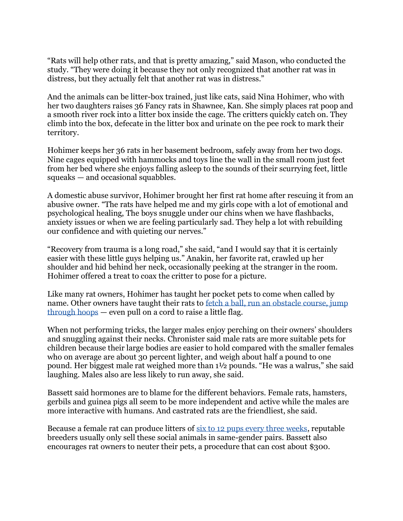"Rats will help other rats, and that is pretty amazing," said Mason, who conducted the study. "They were doing it because they not only recognized that another rat was in distress, but they actually felt that another rat was in distress."

And the animals can be litter-box trained, just like cats, said Nina Hohimer, who with her two daughters raises 36 Fancy rats in Shawnee, Kan. She simply places rat poop and a smooth river rock into a litter box inside the cage. The critters quickly catch on. They climb into the box, defecate in the litter box and urinate on the pee rock to mark their territory.

Hohimer keeps her 36 rats in her basement bedroom, safely away from her two dogs. Nine cages equipped with hammocks and toys line the wall in the small room just feet from her bed where she enjoys falling asleep to the sounds of their scurrying feet, little squeaks — and occasional squabbles.

A domestic abuse survivor, Hohimer brought her first rat home after rescuing it from an abusive owner. "The rats have helped me and my girls cope with a lot of emotional and psychological healing, The boys snuggle under our chins when we have flashbacks, anxiety issues or when we are feeling particularly sad. They help a lot with rebuilding our confidence and with quieting our nerves."

"Recovery from trauma is a long road," she said, "and I would say that it is certainly easier with these little guys helping us." Anakin, her favorite rat, crawled up her shoulder and hid behind her neck, occasionally peeking at the stranger in the room. Hohimer offered a treat to coax the critter to pose for a picture.

Like many rat owners, Hohimer has taught her pocket pets to come when called by name. Other owners have taught their rats to [fetch a ball, run an obstacle course, jump](http://www.youtube.com/watch?v=7g2rxtWu_FM)  [through hoops](http://www.youtube.com/watch?v=7g2rxtWu_FM) — even pull on a cord to raise a little flag.

When not performing tricks, the larger males enjoy perching on their owners' shoulders and snuggling against their necks. Chronister said male rats are more suitable pets for children because their large bodies are easier to hold compared with the smaller females who on average are about 30 percent lighter, and weigh about half a pound to one pound. Her biggest male rat weighed more than 1½ pounds. "He was a walrus," she said laughing. Males also are less likely to run away, she said.

Bassett said hormones are to blame for the different behaviors. Female rats, hamsters, gerbils and guinea pigs all seem to be more independent and active while the males are more interactive with humans. And castrated rats are the friendliest, she said.

Because a female rat can produce litters of [six to 12 pups every three weeks,](https://www.merckvetmanual.com/all-other-pets/rats/breeding-and-reproduction-of-rats) reputable breeders usually only sell these social animals in same-gender pairs. Bassett also encourages rat owners to neuter their pets, a procedure that can cost about \$300.